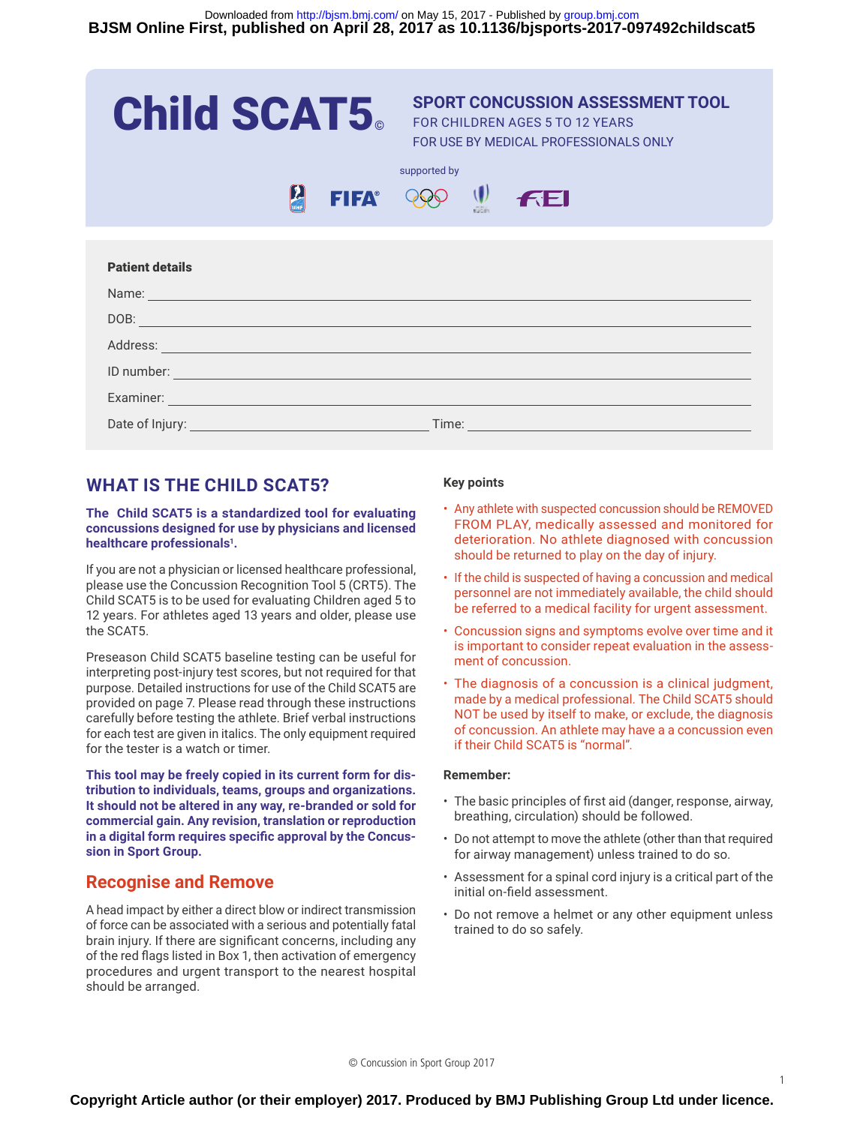| <b>Child SCAT5.</b>                                                                                                                                                                                                                  | <b>SPORT CONCUSSION ASSESSMENT TOOL</b><br>FOR CHILDREN AGES 5 TO 12 YEARS<br>FOR USE BY MEDICAL PROFESSIONALS ONLY |
|--------------------------------------------------------------------------------------------------------------------------------------------------------------------------------------------------------------------------------------|---------------------------------------------------------------------------------------------------------------------|
|                                                                                                                                                                                                                                      | supported by                                                                                                        |
| $\mathbf{E}$<br><b>FIFA®</b>                                                                                                                                                                                                         | $\frac{1}{2}$<br>F <sub>E</sub>                                                                                     |
|                                                                                                                                                                                                                                      |                                                                                                                     |
| <b>Patient details</b>                                                                                                                                                                                                               |                                                                                                                     |
| Name: Name: Name: Name: Name: Name: Name: Name: Name: Name: Name: Name: Name: Name: Name: Name: Name: Name: Name: Name: Name: Name: Name: Name: Name: Name: Name: Name: Name: Name: Name: Name: Name: Name: Name: Name: Name:        |                                                                                                                     |
| DOB: the contract of the contract of the contract of the contract of the contract of the contract of the contract of the contract of the contract of the contract of the contract of the contract of the contract of the contr       |                                                                                                                     |
| Address: <u>Address: Address: Address: Address: Address: Address: Address: Address: Address: Address: Address: Address: Address: Address: Address: Address: Address: Address: Address: Address: Address: Address: Address: Addre</u> |                                                                                                                     |
|                                                                                                                                                                                                                                      |                                                                                                                     |
| Examiner: examiner: examiner: examiner: examiner: examiner: examiner: examiner: examiner: examiner: examiner: examiner: examiner: examiner: examiner: examiner: examiner: examiner: examiner: examiner: examiner: examiner: ex       |                                                                                                                     |
| Date of Injury: <u>contract the contract of the set of the contract of the contract of the contract of the contract of the contract of the contract of the contract of the contract of the contract of the contract of the contr</u> |                                                                                                                     |

# **WHAT IS THE CHILD SCAT5?**

### **The Child SCAT5 is a standardized tool for evaluating concussions designed for use by physicians and licensed healthcare professionals1 .**

If you are not a physician or licensed healthcare professional, please use the Concussion Recognition Tool 5 (CRT5). The Child SCAT5 is to be used for evaluating Children aged 5 to 12 years. For athletes aged 13 years and older, please use the SCAT5.

Preseason Child SCAT5 baseline testing can be useful for interpreting post-injury test scores, but not required for that purpose. Detailed instructions for use of the Child SCAT5 are provided on page 7. Please read through these instructions carefully before testing the athlete. Brief verbal instructions for each test are given in italics. The only equipment required for the tester is a watch or timer.

**This tool may be freely copied in its current form for distribution to individuals, teams, groups and organizations. It should not be altered in any way, re-branded or sold for commercial gain. Any revision, translation or reproduction in a digital form requires specific approval by the Concussion in Sport Group.**

# **Recognise and Remove**

A head impact by either a direct blow or indirect transmission of force can be associated with a serious and potentially fatal brain injury. If there are significant concerns, including any of the red flags listed in Box 1, then activation of emergency procedures and urgent transport to the nearest hospital should be arranged.

### **Key points**

- Any athlete with suspected concussion should be REMOVED FROM PLAY, medically assessed and monitored for deterioration. No athlete diagnosed with concussion should be returned to play on the day of injury.
- If the child is suspected of having a concussion and medical personnel are not immediately available, the child should be referred to a medical facility for urgent assessment.
- Concussion signs and symptoms evolve over time and it is important to consider repeat evaluation in the assessment of concussion.
- The diagnosis of a concussion is a clinical judgment, made by a medical professional. The Child SCAT5 should NOT be used by itself to make, or exclude, the diagnosis of concussion. An athlete may have a a concussion even if their Child SCAT5 is "normal".

### **Remember:**

- The basic principles of first aid (danger, response, airway, breathing, circulation) should be followed.
- Do not attempt to move the athlete (other than that required for airway management) unless trained to do so.
- Assessment for a spinal cord injury is a critical part of the initial on-field assessment.
- Do not remove a helmet or any other equipment unless trained to do so safely.

 $\overline{\phantom{a}}$   $\overline{\phantom{a}}$   $\overline{\phantom{a}}$   $\overline{\phantom{a}}$   $\overline{\phantom{a}}$   $\overline{\phantom{a}}$   $\overline{\phantom{a}}$   $\overline{\phantom{a}}$   $\overline{\phantom{a}}$   $\overline{\phantom{a}}$   $\overline{\phantom{a}}$   $\overline{\phantom{a}}$   $\overline{\phantom{a}}$   $\overline{\phantom{a}}$   $\overline{\phantom{a}}$   $\overline{\phantom{a}}$   $\overline{\phantom{a}}$   $\overline{\phantom{a}}$   $\overline{\phant$ 

© Concussion in Sport Group 2017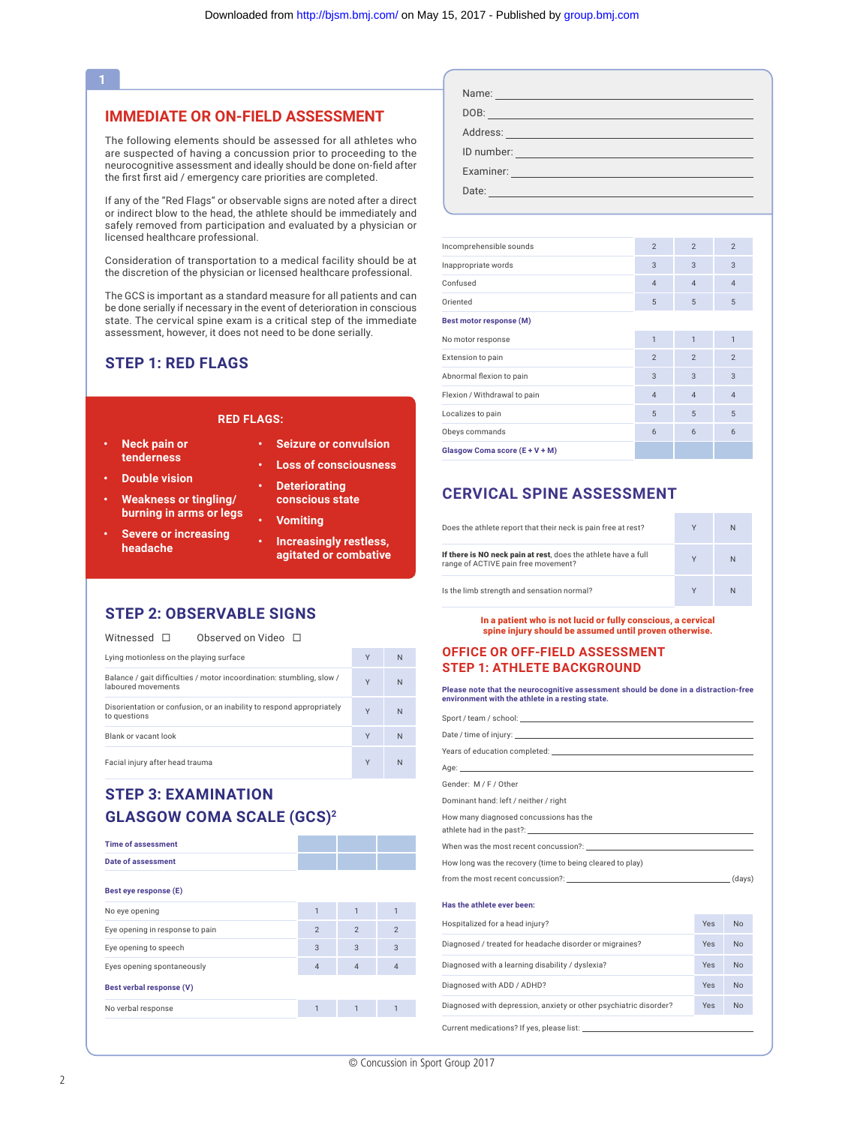### **1**

### **IMMEDIATE OR ON-FIELD ASSESSMENT**

The following elements should be assessed for all athletes who are suspected of having a concussion prior to proceeding to the neurocognitive assessment and ideally should be done on-field after the first first aid / emergency care priorities are completed.

If any of the "Red Flags" or observable signs are noted after a direct or indirect blow to the head, the athlete should be immediately and safely removed from participation and evaluated by a physician or licensed healthcare professional.

Consideration of transportation to a medical facility should be at the discretion of the physician or licensed healthcare professional.

The GCS is important as a standard measure for all patients and can be done serially if necessary in the event of deterioration in conscious state. The cervical spine exam is a critical step of the immediate assessment, however, it does not need to be done serially.

### **STEP 1: RED FLAGS**

#### **RED FLAGS:**

- **Neck pain or tenderness**
- **Seizure or convulsion • Loss of consciousness**
- **Double vision**
- **Weakness or tingling/ burning in arms or legs**
- **Severe or increasing headache**
- **Deteriorating conscious state**
- **Vomiting**
- **Increasingly restless, agitated or combative**

## **STEP 2: OBSERVABLE SIGNS**

| Observed on Video $\Box$<br>Witnessed $\Box$                                                |   |   |
|---------------------------------------------------------------------------------------------|---|---|
| Lying motionless on the playing surface                                                     | Y | N |
| Balance / gait difficulties / motor incoordination: stumbling, slow /<br>laboured movements | Y | N |
| Disorientation or confusion, or an inability to respond appropriately<br>to questions       | Y | N |
| Blank or vacant look                                                                        | Y | N |
| Facial injury after head trauma                                                             | Y |   |

# **STEP 3: EXAMINATION GLASGOW COMA SCALE (GCS)2**

| <b>Time of assessment</b>       |                |                |                |
|---------------------------------|----------------|----------------|----------------|
| Date of assessment              |                |                |                |
| Best eye response (E)           |                |                |                |
| No eye opening                  | 1              | 1              | 1              |
| Eye opening in response to pain | $\overline{2}$ | $\mathfrak{D}$ | $\overline{2}$ |
| Eye opening to speech           | 3              | 3              | $\overline{3}$ |
| Eyes opening spontaneously      | $\overline{4}$ | $\overline{4}$ | $\overline{4}$ |
| Best verbal response (V)        |                |                |                |
| No verbal response              | 1              |                |                |

| Name:      |  |
|------------|--|
| DOB:       |  |
| Address:   |  |
| ID number: |  |
| Examiner:  |  |
| Date:      |  |

| Incomprehensible sounds        | $\overline{2}$ | $\overline{2}$ | $\overline{2}$ |
|--------------------------------|----------------|----------------|----------------|
| Inappropriate words            | 3              | 3              | 3              |
| Confused                       | $\overline{4}$ | $\overline{4}$ | $\overline{4}$ |
| Oriented                       | 5              | 5              | 5              |
| Best motor response (M)        |                |                |                |
| No motor response              | $\mathbf{1}$   | $\overline{1}$ | $\mathbf{1}$   |
| Extension to pain              | $\mathfrak{p}$ | $\overline{2}$ | $\overline{2}$ |
| Abnormal flexion to pain       | $\overline{3}$ | 3              | 3              |
| Flexion / Withdrawal to pain   | $\overline{4}$ | $\overline{4}$ | $\overline{4}$ |
| Localizes to pain              | 5              | 5              | 5              |
| Obeys commands                 | 6              | 6              | 6              |
| Glasgow Coma score (E + V + M) |                |                |                |

## **CERVICAL SPINE ASSESSMENT**

| Does the athlete report that their neck is pain free at rest?                                         | γ | N |
|-------------------------------------------------------------------------------------------------------|---|---|
| If there is NO neck pain at rest, does the athlete have a full<br>range of ACTIVE pain free movement? | V | N |
| Is the limb strength and sensation normal?                                                            | v |   |

In a patient who is not lucid or fully conscious, a cervical spine injury should be assumed until proven otherwise.

### **OFFICE OR OFF-FIELD ASSESSMENT STEP 1: ATHLETE BACKGROUND**

**Please note that the neurocognitive assessment should be done in a distraction-free environment with the athlete in a resting state.**

| Gender: M / F / Other                                                                                                                                                                                                                                                   |
|-------------------------------------------------------------------------------------------------------------------------------------------------------------------------------------------------------------------------------------------------------------------------|
| Dominant hand: left / neither / right                                                                                                                                                                                                                                   |
| How many diagnosed concussions has the<br>athlete had in the past?: experience of the state of the state of the state of the state of the state of the state of the state of the state of the state of the state of the state of the state of the state of the state of |
|                                                                                                                                                                                                                                                                         |
| How long was the recovery (time to being cleared to play)                                                                                                                                                                                                               |
|                                                                                                                                                                                                                                                                         |
| Has the athlete ever been:<br>the contract of the contract of the contract of                                                                                                                                                                                           |

| Hospitalized for a head injury?                                   | Yes | No        |
|-------------------------------------------------------------------|-----|-----------|
| Diagnosed / treated for headache disorder or migraines?           | Yes | <b>No</b> |
| Diagnosed with a learning disability / dyslexia?                  | Yes | <b>No</b> |
| Diagnosed with ADD / ADHD?                                        | Yes | <b>No</b> |
| Diagnosed with depression, anxiety or other psychiatric disorder? | Yes | <b>No</b> |
| Current medications? If yes, please list:                         |     |           |

© Concussion in Sport Group 2017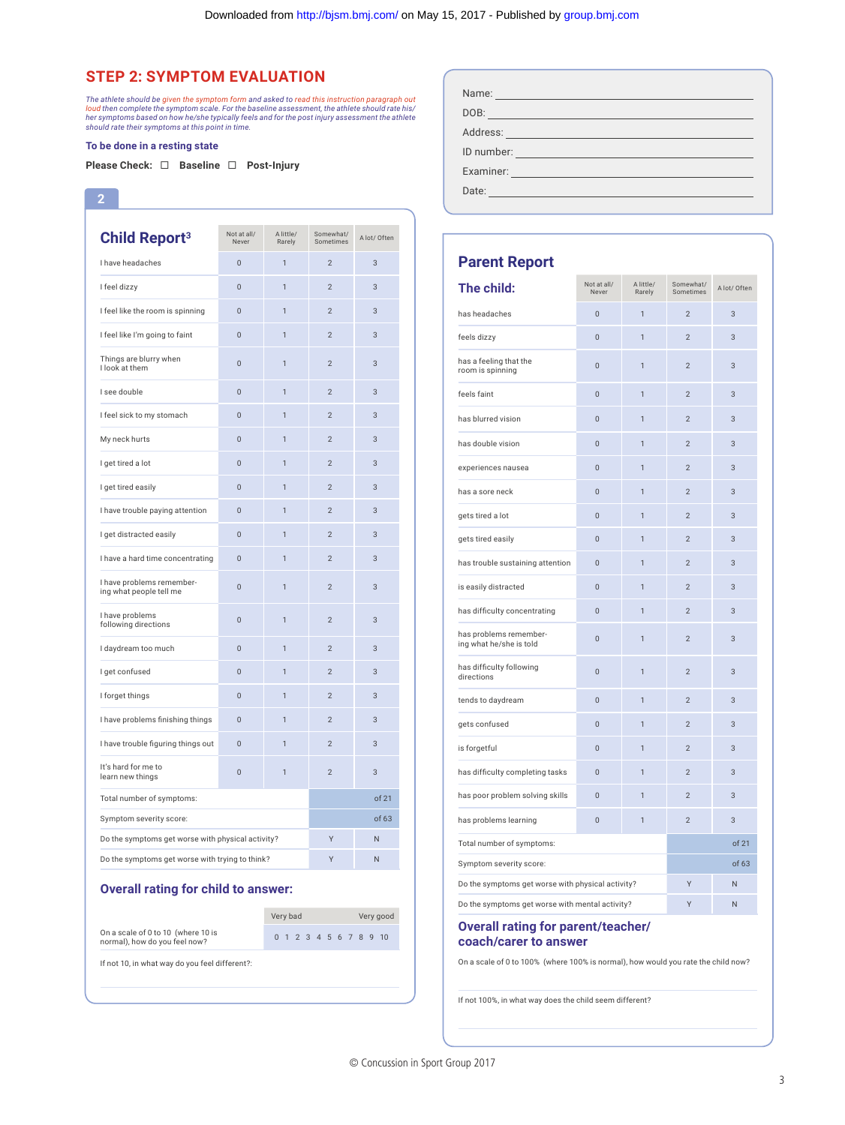## **STEP 2: SYMPTOM EVALUATION**

The athlete should be given the symptom form and asked to read this instruction paragraph out<br>loud then complete the symptom scale. For the baseline assessment, the athlete should rate his/<br>her symptoms based on how he/she

### **To be done in a resting state**

**2**

**Please Check:** □ Baseline □ Post-Injury

| Child Report <sup>3</sup>                            | Not at all/<br>Never | A little/<br>Rarely | Somewhat/<br>Sometimes | A lot/ Often |
|------------------------------------------------------|----------------------|---------------------|------------------------|--------------|
| I have headaches                                     | $\overline{0}$       | 1                   | $\overline{2}$         | 3            |
| I feel dizzy                                         | $\overline{0}$       | 1                   | $\overline{2}$         | 3            |
| I feel like the room is spinning                     | $\overline{0}$       | 1                   | $\overline{2}$         | 3            |
| I feel like I'm going to faint                       | $\bf 0$              | 1                   | $\overline{2}$         | 3            |
| Things are blurry when<br>I look at them             | $\overline{0}$       | 1                   | $\overline{2}$         | 3            |
| I see double                                         | $\Omega$             | 1                   | $\overline{2}$         | 3            |
| I feel sick to my stomach                            | $\overline{0}$       | 1                   | $\overline{2}$         | 3            |
| My neck hurts                                        | $\overline{0}$       | 1                   | $\overline{2}$         | 3            |
| I get tired a lot                                    | $\bf 0$              | 1                   | $\overline{2}$         | 3            |
| I get tired easily                                   | $\overline{0}$       | $\overline{1}$      | $\overline{2}$         | 3            |
| I have trouble paying attention                      | $\mathbf{0}$         | 1                   | $\overline{2}$         | 3            |
| I get distracted easily                              | $\bf 0$              | 1                   | $\overline{2}$         | 3            |
| I have a hard time concentrating                     | $\overline{0}$       | 1                   | $\overline{2}$         | 3            |
| I have problems remember-<br>ing what people tell me | $\overline{0}$       | 1                   | $\overline{2}$         | 3            |
| I have problems<br>following directions              | $\overline{0}$       | $\mathbf{1}$        | $\overline{2}$         | 3            |
| I daydream too much                                  | $\overline{0}$       | 1                   | $\overline{2}$         | 3            |
| I get confused                                       | $\overline{0}$       | 1                   | $\overline{2}$         | 3            |
| I forget things                                      | $\bf 0$              | 1                   | $\overline{2}$         | 3            |
| I have problems finishing things                     | $\overline{0}$       | 1                   | $\overline{2}$         | 3            |
| I have trouble figuring things out                   | $\bf 0$              | 1                   | $\overline{2}$         | 3            |
| It's hard for me to<br>learn new things              | $\overline{0}$       | 1                   | $\overline{2}$         | 3            |
| Total number of symptoms:                            |                      |                     |                        | of 21        |
| Symptom severity score:                              |                      |                     |                        | of 63        |
| Do the symptoms get worse with physical activity?    |                      |                     | Y                      | N            |
| Do the symptoms get worse with trying to think?      | Y                    | N                   |                        |              |

### **Overall rating for child to answer:**

|                                                                     | Very bad |  | Very good |  |  |  |  |  |  |  |                        |
|---------------------------------------------------------------------|----------|--|-----------|--|--|--|--|--|--|--|------------------------|
| On a scale of 0 to 10 (where 10 is<br>normal), how do you feel now? |          |  |           |  |  |  |  |  |  |  | 0 1 2 3 4 5 6 7 8 9 10 |

If not 10, in what way do you feel different?:

| Name:<br><u> 1989 - Johann Barnett, film fan it ferstjer fan it ferstjer fan it ferstjer fan it ferstjer fan it ferstjer</u> |
|------------------------------------------------------------------------------------------------------------------------------|
| DOB:<br><u> 1989 - Johann Stein, mars an de France</u>                                                                       |
| Address: <u>_________________________________</u>                                                                            |
| ID number:<br><u> 1970 - Johann Barnett, fransk politik (d. 1982)</u>                                                        |
| Examiner:                                                                                                                    |
| Date:                                                                                                                        |

| <b>Parent Report</b>                              |                      |                     |                        |                |  |  |  |
|---------------------------------------------------|----------------------|---------------------|------------------------|----------------|--|--|--|
| The child:                                        | Not at all/<br>Never | A little/<br>Rarely | Somewhat/<br>Sometimes | A lot/ Often   |  |  |  |
| has headaches                                     | $\overline{0}$       | 1                   | $\overline{2}$         | 3              |  |  |  |
| feels dizzy                                       | $\mathbf{0}$         | 1                   | $\overline{2}$         | 3              |  |  |  |
| has a feeling that the<br>room is spinning        | $\mathbf{0}$         | 1                   | $\overline{2}$         | 3              |  |  |  |
| feels faint                                       | $\overline{0}$       | $\overline{1}$      | $\overline{2}$         | 3              |  |  |  |
| has blurred vision                                | $\overline{0}$       | 1                   | $\overline{2}$         | 3              |  |  |  |
| has double vision                                 | $\overline{0}$       | 1                   | $\overline{2}$         | 3              |  |  |  |
| experiences nausea                                | $\mathbf{0}$         | 1                   | $\overline{2}$         | 3              |  |  |  |
| has a sore neck                                   | $\mathbf{0}$         | 1                   | $\overline{2}$         | 3              |  |  |  |
| gets tired a lot                                  | $\overline{0}$       | 1                   | $\overline{2}$         | 3              |  |  |  |
| gets tired easily                                 | $\overline{0}$       | $\overline{1}$      | $\overline{2}$         | $\overline{3}$ |  |  |  |
| has trouble sustaining attention                  | $\overline{0}$       | 1                   | $\overline{2}$         | 3              |  |  |  |
| is easily distracted                              | $\mathbf{0}$         | 1                   | $\overline{2}$         | 3              |  |  |  |
| has difficulty concentrating                      | $\overline{0}$       | 1                   | $\overline{2}$         | 3              |  |  |  |
| has problems remember-<br>ing what he/she is told | $\overline{0}$       | 1                   | $\overline{2}$         | 3              |  |  |  |
| has difficulty following<br>directions            | $\overline{0}$       | $\overline{1}$      | $\overline{2}$         | 3              |  |  |  |
| tends to daydream                                 | $\overline{0}$       | 1                   | $\overline{2}$         | 3              |  |  |  |
| gets confused                                     | $\overline{0}$       | 1                   | $\overline{2}$         | 3              |  |  |  |
| is forgetful                                      | $\mathbf{0}$         | 1                   | $\overline{2}$         | 3              |  |  |  |
| has difficulty completing tasks                   | 0                    | 1                   | $\overline{2}$         | 3              |  |  |  |
| has poor problem solving skills                   | $\mathbf{0}$         | 1                   | $\overline{2}$         | 3              |  |  |  |
| has problems learning                             | $\mathbf{0}$         | 1                   | $\overline{2}$         | 3              |  |  |  |
| Total number of symptoms:                         |                      |                     |                        |                |  |  |  |
| Symptom severity score:                           |                      | of 63               |                        |                |  |  |  |
| Do the symptoms get worse with physical activity? |                      | Y                   | N                      |                |  |  |  |
| Do the symptoms get worse with mental activity?   | Y                    | N                   |                        |                |  |  |  |

### **Overall rating for parent/teacher/ coach/carer to answer**

On a scale of 0 to 100% (where 100% is normal), how would you rate the child now?

If not 100%, in what way does the child seem different?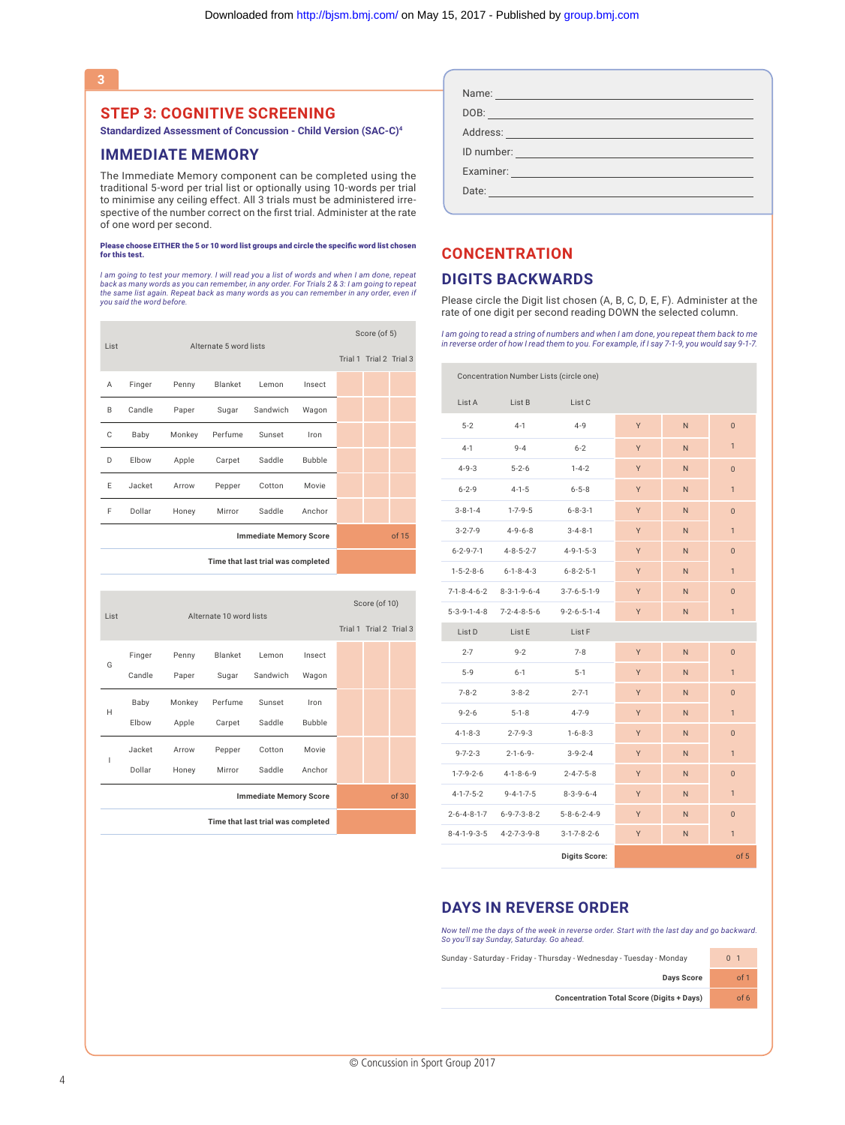### **STEP 3: COGNITIVE SCREENING**

**Standardized Assessment of Concussion - Child Version (SAC-C)4**

### **IMMEDIATE MEMORY**

The Immediate Memory component can be completed using the traditional 5-word per trial list or optionally using 10-words per trial to minimise any ceiling effect. All 3 trials must be administered irrespective of the number correct on the first trial. Administer at the rate of one word per second.

#### Please choose EITHER the 5 or 10 word list groups and circle the specific word list chosen for this test.

*I am going to test your memory. I will read you a list of words and when I am done, repeat*  back as many words as you can remember, in any order. For Trials 2 & 3: I am going to repeat<br>the same list again. Repeat back as many words as you can remember in any order, even if<br>you said the word before.

|                                    | List<br>Alternate 5 word lists |        |                |          |               |  |                         | Score (of 5) |
|------------------------------------|--------------------------------|--------|----------------|----------|---------------|--|-------------------------|--------------|
|                                    |                                |        |                |          |               |  | Trial 1 Trial 2 Trial 3 |              |
| Α                                  | Finger                         | Penny  | <b>Blanket</b> | Lemon    | Insect        |  |                         |              |
| B                                  | Candle                         | Paper  | Sugar          | Sandwich | Wagon         |  |                         |              |
| C                                  | Baby                           | Monkey | Perfume        | Sunset   | Iron          |  |                         |              |
| D                                  | Elbow                          | Apple  | Carpet         | Saddle   | <b>Bubble</b> |  |                         |              |
| E                                  | Jacket                         | Arrow  | Pepper         | Cotton   | Movie         |  |                         |              |
| F                                  | Dollar                         | Honey  | Mirror         | Saddle   | Anchor        |  |                         |              |
| <b>Immediate Memory Score</b>      |                                |        |                |          |               |  |                         | of 15        |
| Time that last trial was completed |                                |        |                |          |               |  |                         |              |

| List                               | Alternate 10 word lists |        |         |          |        | Score (of 10) |                         |  |
|------------------------------------|-------------------------|--------|---------|----------|--------|---------------|-------------------------|--|
|                                    |                         |        |         |          |        |               | Trial 1 Trial 2 Trial 3 |  |
| G                                  | Finger                  | Penny  | Blanket | Lemon    | Insect |               |                         |  |
|                                    | Candle                  | Paper  | Sugar   | Sandwich | Wagon  |               |                         |  |
| Н                                  | Baby                    | Monkey | Perfume | Sunset   | Iron   |               |                         |  |
|                                    | Elbow                   | Apple  | Carpet  | Saddle   | Bubble |               |                         |  |
| ı                                  | Jacket                  | Arrow  | Pepper  | Cotton   | Movie  |               |                         |  |
|                                    | Dollar                  | Honey  | Mirror  | Saddle   | Anchor |               |                         |  |
| <b>Immediate Memory Score</b>      |                         |        |         |          |        |               | of 30                   |  |
| Time that last trial was completed |                         |        |         |          |        |               |                         |  |

| Name:      |                                                |  |  |
|------------|------------------------------------------------|--|--|
| DOB:       |                                                |  |  |
|            |                                                |  |  |
| ID number: | <u> 1989 - Johann Barnett, fransk kongresu</u> |  |  |
| Examiner:  |                                                |  |  |
| Date:      |                                                |  |  |

# **CONCENTRATION**

### **DIGITS BACKWARDS**

Please circle the Digit list chosen (A, B, C, D, E, F). Administer at the rate of one digit per second reading DOWN the selected column.

*I am going to read a string of numbers and when I am done, you repeat them back to me in reverse order of how I read them to you. For example, if I say 7-1-9, you would say 9-1-7.*

| Concentration Number Lists (circle one) |                                     |                         |   |              |                |  |  |
|-----------------------------------------|-------------------------------------|-------------------------|---|--------------|----------------|--|--|
| List A                                  | List B                              | List <sub>C</sub>       |   |              |                |  |  |
| $5 - 2$                                 | $4-1$                               | $4 - 9$                 | Y | N.           | $\overline{0}$ |  |  |
| $4 - 1$                                 | $9 - 4$                             | $6 - 2$                 | Y | N            | $\mathbf{1}$   |  |  |
| $4 - 9 - 3$                             | $5 - 2 - 6$                         | $1 - 4 - 2$             | Y | N            | $\overline{0}$ |  |  |
| $6 - 2 - 9$                             | $4 - 1 - 5$                         | $6 - 5 - 8$             | Y | N            | $\mathbf{1}$   |  |  |
| $3 - 8 - 1 - 4$                         | $1 - 7 - 9 - 5$                     | $6 - 8 - 3 - 1$         | Y | N            | $\overline{0}$ |  |  |
| $3 - 2 - 7 - 9$                         | $4 - 9 - 6 - 8$                     | $3 - 4 - 8 - 1$         | Y | N            | $\mathbf{1}$   |  |  |
| $6 - 2 - 9 - 7 - 1$                     | $4 - 8 - 5 - 2 - 7$                 | $4 - 9 - 1 - 5 - 3$     | Y | N            | $\overline{0}$ |  |  |
| $1 - 5 - 2 - 8 - 6$                     | $6 - 1 - 8 - 4 - 3$                 | $6 - 8 - 2 - 5 - 1$     | Y | N            | $\mathbf{1}$   |  |  |
| $7 - 1 - 8 - 4 - 6 - 2$                 | $8 - 3 - 1 - 9 - 6 - 4$             | $3 - 7 - 6 - 5 - 1 - 9$ | Y | N            | $\overline{0}$ |  |  |
| $5 - 3 - 9 - 1 - 4 - 8$                 | $7 - 2 - 4 - 8 - 5 - 6$             | $9 - 2 - 6 - 5 - 1 - 4$ | Y | N            | $\mathbf{1}$   |  |  |
| List D                                  | List E                              | List F                  |   |              |                |  |  |
| $2 - 7$                                 | $9 - 2$                             | $7 - 8$                 | Y | N            | $\overline{0}$ |  |  |
| $5 - 9$                                 | $6 - 1$                             | $5 - 1$                 | Y | N            | $\mathbf{1}$   |  |  |
| $7 - 8 - 2$                             | $3 - 8 - 2$                         | $2 - 7 - 1$             | Y | N            | $\overline{0}$ |  |  |
| $9 - 2 - 6$                             | $5 - 1 - 8$                         | $4 - 7 - 9$             | Y | N            | $\mathbf{1}$   |  |  |
| $4 - 1 - 8 - 3$                         | $2 - 7 - 9 - 3$                     | $1 - 6 - 8 - 3$         | Y | N            | $\overline{0}$ |  |  |
| $9 - 7 - 2 - 3$                         | $2 - 1 - 6 - 9 -$                   | $3 - 9 - 2 - 4$         | Y | N            | $\mathbf{1}$   |  |  |
| $1 - 7 - 9 - 2 - 6$                     | $4 - 1 - 8 - 6 - 9$                 | $2 - 4 - 7 - 5 - 8$     | Y | N            | $\overline{0}$ |  |  |
| $4 - 1 - 7 - 5 - 2$                     | $9 - 4 - 1 - 7 - 5$                 | $8 - 3 - 9 - 6 - 4$     | Y | N            | $\mathbf{1}$   |  |  |
|                                         | $2 - 6 - 4 - 8 - 1 - 7$ 6-9-7-3-8-2 | $5 - 8 - 6 - 2 - 4 - 9$ | Y | N            | $\overline{0}$ |  |  |
| 8-4-1-9-3-5                             | $4 - 2 - 7 - 3 - 9 - 8$             | $3-1-7-8-2-6$           | Υ | $\mathsf{N}$ | $\mathbf{1}$   |  |  |
|                                         |                                     | <b>Digits Score:</b>    |   |              | of 5           |  |  |

### **DAYS IN REVERSE ORDER**

*Now tell me the days of the week in reverse order. Start with the last day and go backward. So you'll say Sunday, Saturday. Go ahead.*

| Sunday - Saturday - Friday - Thursday - Wednesday - Tuesday - Monday | 0 <sub>1</sub> |
|----------------------------------------------------------------------|----------------|
| <b>Davs Score</b>                                                    | of 1           |
| <b>Concentration Total Score (Digits + Days)</b>                     | of 6           |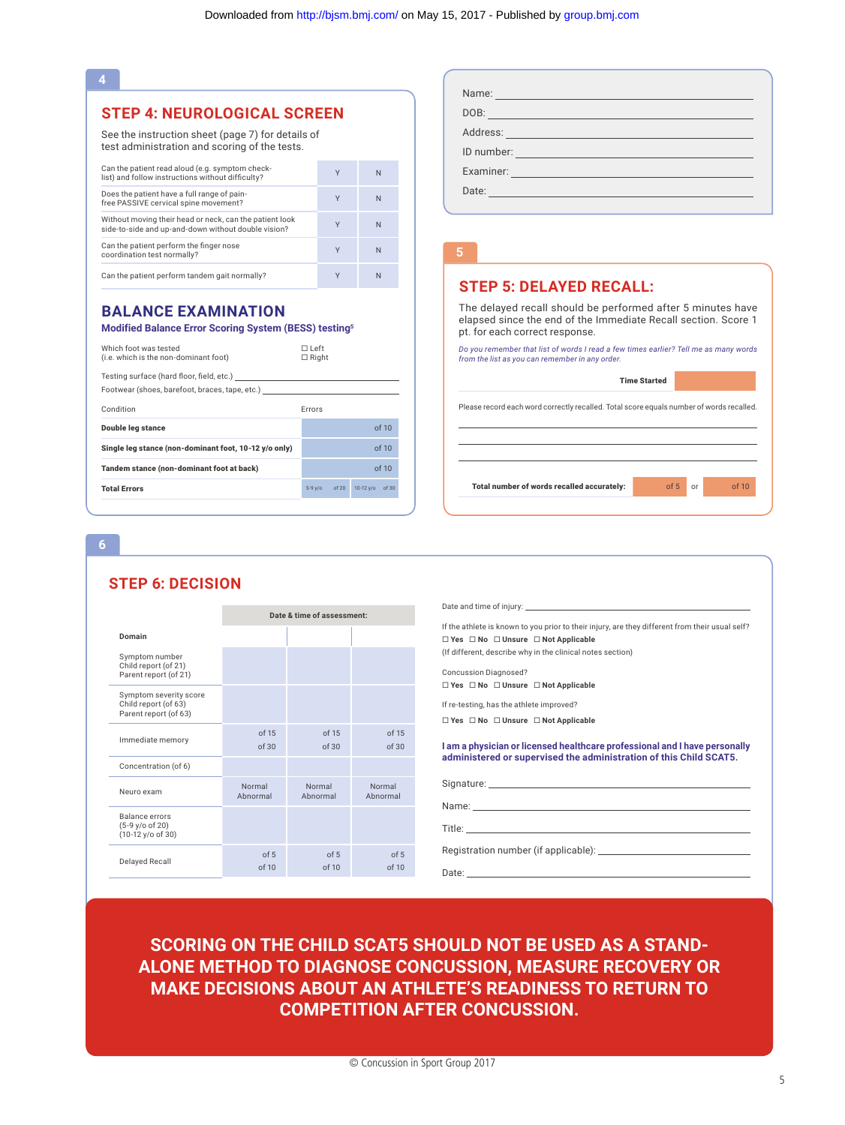#### **4**

### **STEP 4: NEUROLOGICAL SCREEN**

See the instruction sheet (page 7) for details of test administration and scoring of the tests.

| Can the patient read aloud (e.g. symptom check-<br>list) and follow instructions without difficulty?           | γ | N |
|----------------------------------------------------------------------------------------------------------------|---|---|
| Does the patient have a full range of pain-<br>free PASSIVE cervical spine movement?                           | v | N |
| Without moving their head or neck, can the patient look<br>side-to-side and up-and-down without double vision? |   | N |
| Can the patient perform the finger nose<br>coordination test normally?                                         | v | N |
| Can the patient perform tandem gait normally?                                                                  | v | N |

### **BALANCE EXAMINATION**

#### **Modified Balance Error Scoring System (BESS) testing5**

| Which foot was tested<br>(i.e. which is the non-dominant foot)                              | $\Box$ Left<br>$\Box$ Right |       |               |       |
|---------------------------------------------------------------------------------------------|-----------------------------|-------|---------------|-------|
| Testing surface (hard floor, field, etc.)<br>Footwear (shoes, barefoot, braces, tape, etc.) |                             |       |               |       |
| Condition                                                                                   | Errors                      |       |               |       |
| <b>Double leg stance</b>                                                                    |                             |       |               | of 10 |
| Single leg stance (non-dominant foot, 10-12 y/o only)                                       |                             |       |               | of 10 |
| Tandem stance (non-dominant foot at back)                                                   |                             |       |               | of 10 |
| <b>Total Errors</b>                                                                         | $5-9$ $v/o$                 | of 20 | $10 - 12$ v/o | of 30 |

# Name: DOB: the contract of the contract of the contract of the contract of the contract of the contract of the contract of the contract of the contract of the contract of the contract of the contract of the contract of the contr Address: ID number: Examiner: William School and Communication of the Communication of the Communication of the Communication of the Communication of the Communication of the Communication of the Communication of the Communication of the Comm Date:

### **STEP 5: DELAYED RECALL:**

The delayed recall should be performed after 5 minutes have elapsed since the end of the Immediate Recall section. Score 1 pt. for each correct response.

*Do you remember that list of words I read a few times earlier? Tell me as many words from the list as you can remember in any order.*

|                                                                                          | <b>Time Started</b> |      |       |
|------------------------------------------------------------------------------------------|---------------------|------|-------|
| Please record each word correctly recalled. Total score equals number of words recalled. |                     |      |       |
|                                                                                          |                     |      |       |
|                                                                                          |                     |      |       |
| Total number of words recalled accurately:                                               | of 5                | l or | of 10 |

### **STEP 6: DECISION**

|                                                                         | Date & time of assessment: |                    |                    |  |  |  |
|-------------------------------------------------------------------------|----------------------------|--------------------|--------------------|--|--|--|
| Domain                                                                  |                            |                    |                    |  |  |  |
| Symptom number<br>Child report (of 21)<br>Parent report (of 21)         |                            |                    |                    |  |  |  |
| Symptom severity score<br>Child report (of 63)<br>Parent report (of 63) |                            |                    |                    |  |  |  |
| Immediate memory                                                        | of 15<br>of 30             | of 15<br>of 30     | of 15<br>of 30     |  |  |  |
| Concentration (of 6)                                                    |                            |                    |                    |  |  |  |
| Neuro exam                                                              | Normal<br>Abnormal         | Normal<br>Abnormal | Normal<br>Abnormal |  |  |  |
| Balance errors<br>(5-9 y/o of 20)<br>(10-12 y/o of 30)                  |                            |                    |                    |  |  |  |
| <b>Delayed Recall</b>                                                   | of 5<br>of 10              | of 5<br>of 10      | of 5<br>of 10      |  |  |  |

| If the athlete is known to you prior to their injury, are they different from their usual self?                                                  |
|--------------------------------------------------------------------------------------------------------------------------------------------------|
|                                                                                                                                                  |
|                                                                                                                                                  |
|                                                                                                                                                  |
| I am a physician or licensed healthcare professional and I have personally<br>administered or supervised the administration of this Child SCAT5. |
|                                                                                                                                                  |
|                                                                                                                                                  |
|                                                                                                                                                  |
|                                                                                                                                                  |
|                                                                                                                                                  |

Date:

**SCORING ON THE CHILD SCAT5 SHOULD NOT BE USED AS A STAND-ALONE METHOD TO DIAGNOSE CONCUSSION, MEASURE RECOVERY OR MAKE DECISIONS ABOUT AN ATHLETE'S READINESS TO RETURN TO COMPETITION AFTER CONCUSSION.**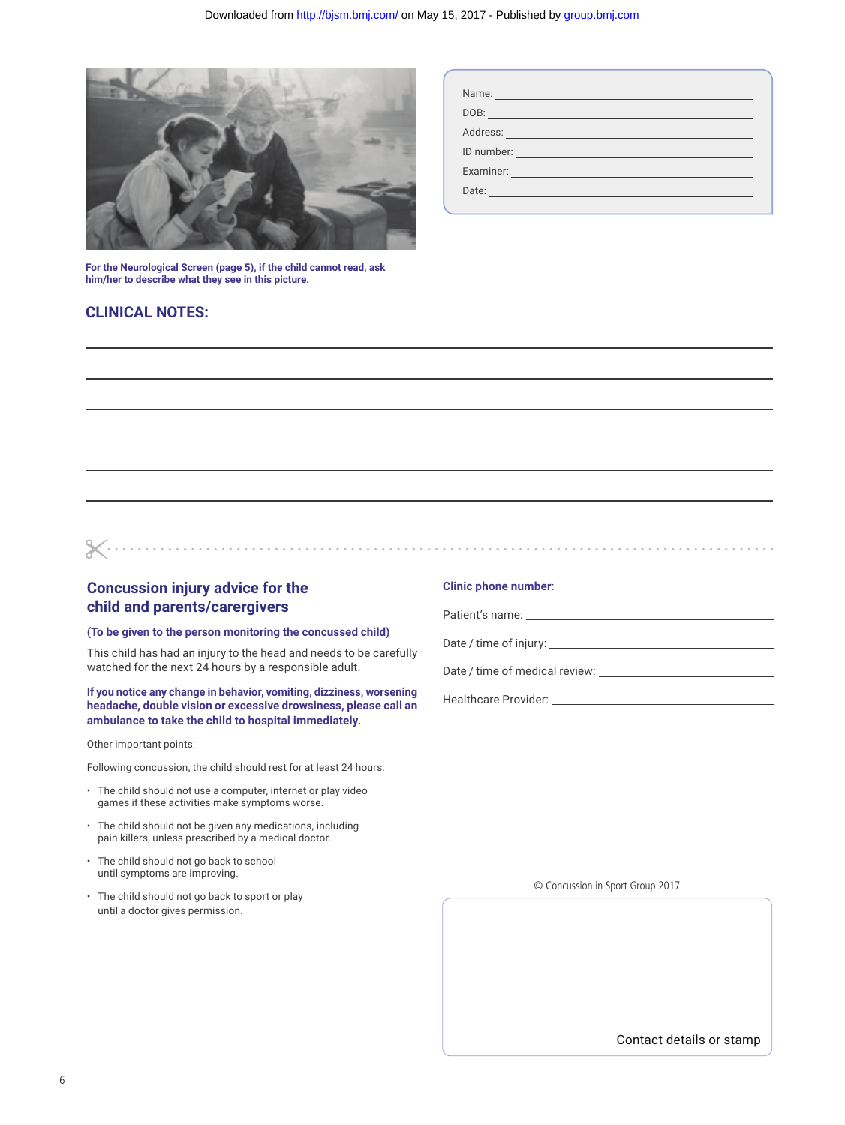

**For the Neurological Screen (page 5), if the child cannot read, ask him/her to describe what they see in this picture.**

| Name:                                                |
|------------------------------------------------------|
| DOB:                                                 |
| Address:                                             |
| ID number:                                           |
| Examiner:                                            |
| Date:<br>the company's company's company's company's |

### **CLINICAL NOTES:**



### **Concussion injury advice for the child and parents/carergivers**

### **(To be given to the person monitoring the concussed child)**

This child has had an injury to the head and needs to be carefully watched for the next 24 hours by a responsible adult.

**If you notice any change in behavior, vomiting, dizziness, worsening headache, double vision or excessive drowsiness, please call an ambulance to take the child to hospital immediately.**

Other important points:

Following concussion, the child should rest for at least 24 hours.

- The child should not use a computer, internet or play video games if these activities make symptoms worse.
- The child should not be given any medications, including pain killers, unless prescribed by a medical doctor.
- The child should not go back to school until symptoms are improving.
- The child should not go back to sport or play until a doctor gives permission.

|  |  |  | <b>Clinic phone number:</b> |  |  |
|--|--|--|-----------------------------|--|--|
|  |  |  |                             |  |  |

Patient's name:

Date / time of injury: \_\_

Date / time of medical review: \_\_\_

Healthcare Provider:

© Concussion in Sport Group 2017

Contact details or stamp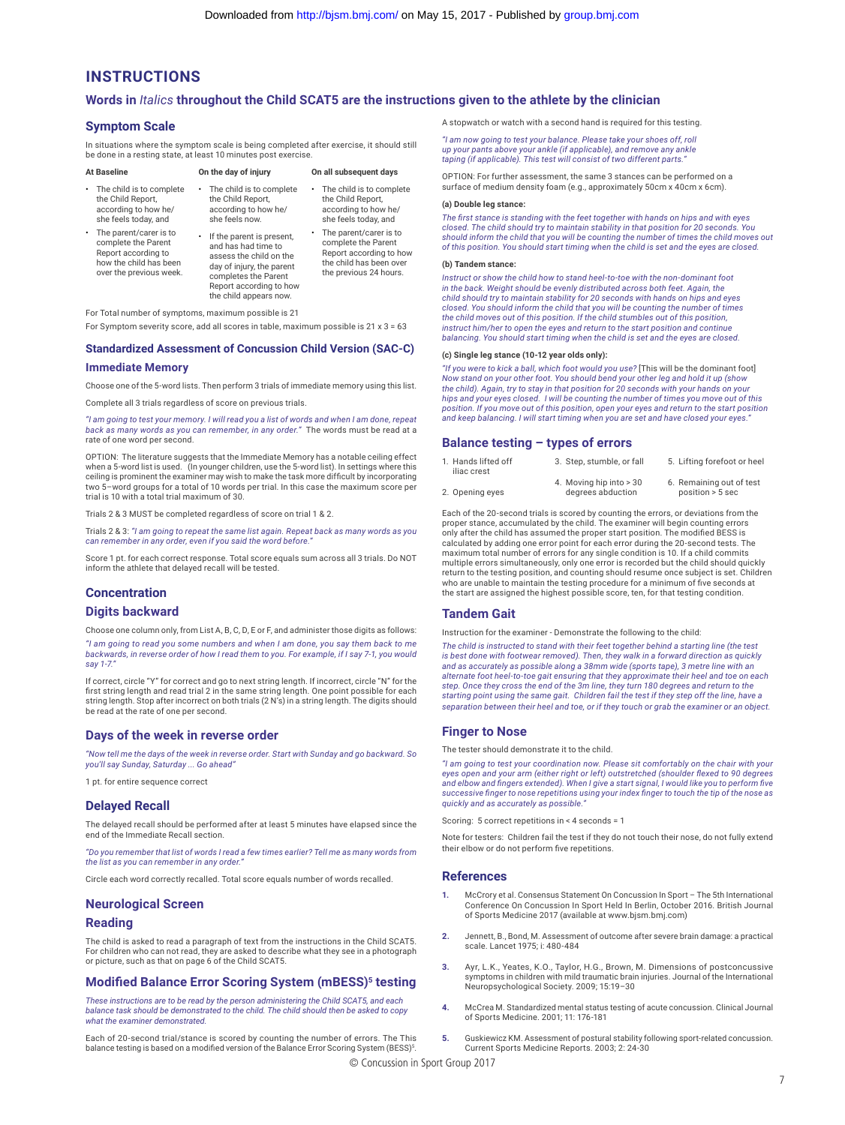### **INSTRUCTIONS**

#### **Words in** *Italics* **throughout the Child SCAT5 are the instructions given to the athlete by the clinician**

#### **Symptom Scale**

In situations where the symptom scale is being completed after exercise, it should still be done in a resting state, at least 10 minutes post exercise.

| <b>At Baseline</b>                                                                                                        | On the day of injury                                                                                                                                                                       | On all subsequent days                                                                                                        |  |
|---------------------------------------------------------------------------------------------------------------------------|--------------------------------------------------------------------------------------------------------------------------------------------------------------------------------------------|-------------------------------------------------------------------------------------------------------------------------------|--|
| • The child is to complete<br>the Child Report,<br>according to how he/<br>she feels today, and                           | • The child is to complete<br>the Child Report,<br>according to how he/<br>she feels now.                                                                                                  | • The child is to complete<br>the Child Report,<br>according to how he/<br>she feels today, and                               |  |
| The parent/carer is to<br>complete the Parent<br>Report according to<br>how the child has been<br>over the previous week. | If the parent is present,<br>٠<br>and has had time to<br>assess the child on the<br>day of injury, the parent<br>completes the Parent<br>Report according to how<br>the child appears now. | The parent/carer is to<br>complete the Parent<br>Report according to how<br>the child has been over<br>the previous 24 hours. |  |

For Total number of symptoms, maximum possible is 21

For Symptom severity score, add all scores in table, maximum possible is 21 x 3 = 63

### **Standardized Assessment of Concussion Child Version (SAC-C)**

#### **Immediate Memory**

Choose one of the 5-word lists. Then perform 3 trials of immediate memory using this list.

Complete all 3 trials regardless of score on previous trials.

*"I am going to test your memory. I will read you a list of words and when I am done, repeat back as many words as you can remember, in any order."* The words must be read at a rate of one word per second.

OPTION: The literature suggests that the Immediate Memory has a notable ceiling effect when a 5-word list is used. (In younger children, use the 5-word list). In settings where this ceiling is prominent the examiner may wish to make the task more difficult by incorporating<br>two 5-word groups for a total of 10 words per trial. In this case the maximum score per -word groups for a total of 10 words per trial. In this case the maximum score per trial is 10 with a total trial maximum of 30.

Trials 2 & 3 MUST be completed regardless of score on trial 1 & 2.

Trials 2 & 3: *"I am going to repeat the same list again. Repeat back as many words as you can remember in any order, even if you said the word before."*

Score 1 pt. for each correct response. Total score equals sum across all 3 trials. Do NOT inform the athlete that delayed recall will be tested.

#### **Concentration**

#### **Digits backward**

Choose one column only, from List A, B, C, D, E or F, and administer those digits as follows: *"I am going to read you some numbers and when I am done, you say them back to me backwards, in reverse order of how I read them to you. For example, if I say 7-1, you would say 1-7."*

If correct, circle "Y" for correct and go to next string length. If incorrect, circle "N" for the first string length and read trial 2 in the same string length. One point possible for each string length. Stop after incorrect on both trials (2 N's) in a string length. The digits should be read at the rate of one per second.

#### **Days of the week in reverse order**

*"Now tell me the days of the week in reverse order. Start with Sunday and go backward. So you'll say Sunday, Saturday ... Go ahead"*

1 pt. for entire sequence correct

#### **Delayed Recall**

The delayed recall should be performed after at least 5 minutes have elapsed since the end of the Immediate Recall section.

*"Do you remember that list of words I read a few times earlier? Tell me as many words from the list as you can remember in any order."*

Circle each word correctly recalled. Total score equals number of words recalled.

### **Neurological Screen**

#### **Reading**

The child is asked to read a paragraph of text from the instructions in the Child SCAT5. For children who can not read, they are asked to describe what they see in a photograph or picture, such as that on page 6 of the Child SCAT5.

#### **Modified Balance Error Scoring System (mBESS)5 testing**

*These instructions are to be read by the person administering the Child SCAT5, and each balance task should be demonstrated to the child. The child should then be asked to copy what the examiner demonstrated.*

Each of 20-second trial/stance is scored by counting the number of errors. The This balance testing is based on a modified version of the Balance Error Scoring System (BESS)<sup>5</sup>.

A stopwatch or watch with a second hand is required for this testing.

*"I am now going to test your balance. Please take your shoes off, roll up your pants above your ankle (if applicable), and remove any ankle taping (if applicable). This test will consist of two different parts."*

OPTION: For further assessment, the same 3 stances can be performed on a surface of medium density foam (e.g., approximately 50cm x 40cm x 6cm).

#### **(a) Double leg stance:**

*The first stance is standing with the feet together with hands on hips and with eyes closed. The child should try to maintain stability in that position for 20 seconds. You should inform the child that you will be counting the number of times the child moves out of this position. You should start timing when the child is set and the eyes are closed.*

#### **(b) Tandem stance:**

*Instruct or show the child how to stand heel-to-toe with the non-dominant foot*  in the back. Weight should be evenly distributed across both feet. Again, the *child should try to maintain stability for 20 seconds with hands on hips and eyes closed. You should inform the child that you will be counting the number of times the child moves out of this position. If the child stumbles out of this position, instruct him/her to open the eyes and return to the start position and continue balancing. You should start timing when the child is set and the eyes are closed.*

#### **(c) Single leg stance (10-12 year olds only):**

*"If you were to kick a ball, which foot would you use?* [This will be the dominant foot] *Now stand on your other foot. You should bend your other leg and hold it up (show*  the child). Again, try to stay in that position for 20 seconds with your hands on your<br>hips and your eyes closed. I will be counting the number of times you move out of this *position. If you move out of this position, open your eyes and return to the start position and keep balancing. I will start timing when you are set and have closed your eyes."* 

#### **Balance testing – types of errors**

| 1. Hands lifted off<br>iliac crest | 3. Step, stumble, or fall                    | 5. Lifting forefoot or heel                    |
|------------------------------------|----------------------------------------------|------------------------------------------------|
| 2. Opening eves                    | 4. Moving hip into > 30<br>degrees abduction | 6. Remaining out of test<br>$position > 5$ sec |

Each of the 20-second trials is scored by counting the errors, or deviations from the proper stance, accumulated by the child. The examiner will begin counting errors only after the child has assumed the proper start position. The modified BESS is calculated by adding one error point for each error during the 20-second tests. The maximum total number of errors for any single condition is 10. If a child commits multiple errors simultaneously, only one error is recorded but the child should quickly return to the testing position, and counting should resume once subject is set. Children who are unable to maintain the testing procedure for a minimum of five seconds at the start are assigned the highest possible score, ten, for that testing condition.

#### **Tandem Gait**

Instruction for the examiner - Demonstrate the following to the child:

*The child is instructed to stand with their feet together behind a starting line (the test is best done with footwear removed). Then, they walk in a forward direction as quickly and as accurately as possible along a 38mm wide (sports tape), 3 metre line with an alternate foot heel-to-toe gait ensuring that they approximate their heel and toe on each step. Once they cross the end of the 3m line, they turn 180 degrees and return to the starting point using the same gait. Children fail the test if they step off the line, have a separation between their heel and toe, or if they touch or grab the examiner or an object.*

#### **Finger to Nose**

The tester should demonstrate it to the child.

*"I am going to test your coordination now. Please sit comfortably on the chair with your eyes open and your arm (either right or left) outstretched (shoulder flexed to 90 degrees*  and elbow and fingers extended). When I give a start signal, I would like you to perform five *successive finger to nose repetitions using your index finger to touch the tip of the nose as quickly and as accurately as possible."*

Scoring: 5 correct repetitions in < 4 seconds = 1

Note for testers: Children fail the test if they do not touch their nose, do not fully extend their elbow or do not perform five repetitions.

#### **References**

- **1.** McCrory et al. Consensus Statement On Concussion In Sport The 5th International Conference On Concussion In Sport Held In Berlin, October 2016. British Journal of Sports Medicine 2017 (available at www.bjsm.bmj.com)
- **2.** Jennett, B., Bond, M. Assessment of outcome after severe brain damage: a practical scale. Lancet 1975; i: 480-484
- **3.** Ayr, L.K., Yeates, K.O., Taylor, H.G., Brown, M. Dimensions of postconcussive symptoms in children with mild traumatic brain injuries. Journal of the International Neuropsychological Society. 2009; 15:19–30
- **4.** McCrea M. Standardized mental status testing of acute concussion. Clinical Journal of Sports Medicine. 2001; 11: 176-181
- **5.** Guskiewicz KM. Assessment of postural stability following sport-related concussion. Current Sports Medicine Reports. 2003; 2: 24-30

© Concussion in Sport Group 2017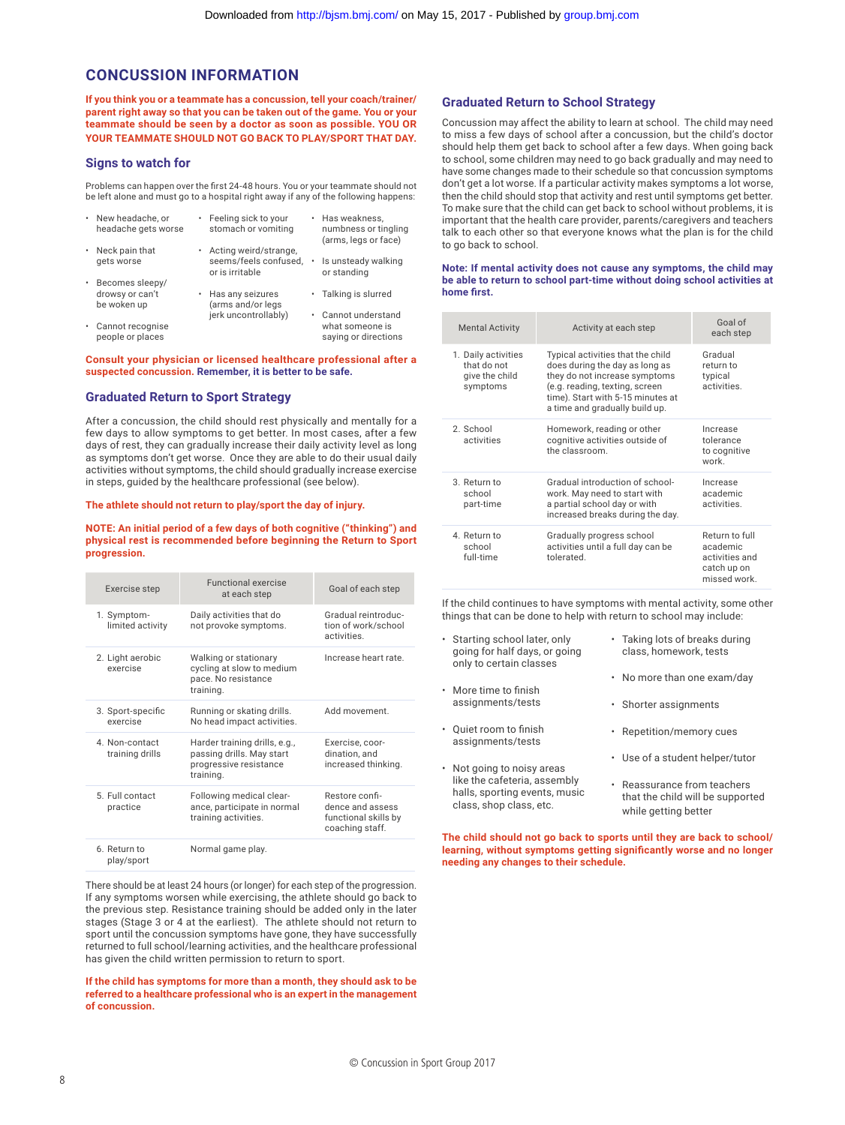### **CONCUSSION INFORMATION**

**If you think you or a teammate has a concussion, tell your coach/trainer/ parent right away so that you can be taken out of the game. You or your teammate should be seen by a doctor as soon as possible. YOU OR YOUR TEAMMATE SHOULD NOT GO BACK TO PLAY/SPORT THAT DAY.**

#### **Signs to watch for**

Problems can happen over the first 24-48 hours. You or your teammate should not be left alone and must go to a hospital right away if any of the following happens:

| • New headache, or<br>headache gets worse         | $\bullet$ | Feeling sick to your<br>stomach or vomiting                       |   | • Has weakness,<br>numbness or tingling<br>(arms, legs or face) |
|---------------------------------------------------|-----------|-------------------------------------------------------------------|---|-----------------------------------------------------------------|
| Neck pain that<br>gets worse                      | ٠         | Acting weird/strange,<br>seems/feels confused,<br>or is irritable | ٠ | Is unsteady walking<br>or standing                              |
| Becomes sleepy/<br>drowsy or can't<br>be woken up |           | • Has any seizures<br>(arms and/or legs                           |   | · Talking is slurred                                            |
| • Cannot recognise<br>people or places            |           | jerk uncontrollably)                                              |   | • Cannot understand<br>what someone is<br>saying or directions  |

**Consult your physician or licensed healthcare professional after a suspected concussion. Remember, it is better to be safe.**

### **Graduated Return to Sport Strategy**

After a concussion, the child should rest physically and mentally for a few days to allow symptoms to get better. In most cases, after a few days of rest, they can gradually increase their daily activity level as long as symptoms don't get worse. Once they are able to do their usual daily activities without symptoms, the child should gradually increase exercise in steps, guided by the healthcare professional (see below).

#### **The athlete should not return to play/sport the day of injury.**

**NOTE: An initial period of a few days of both cognitive ("thinking") and physical rest is recommended before beginning the Return to Sport progression.** 

| Exercise step                    | <b>Functional exercise</b><br>at each step                                                        | Goal of each step                                                             |
|----------------------------------|---------------------------------------------------------------------------------------------------|-------------------------------------------------------------------------------|
| 1. Symptom-<br>limited activity  | Daily activities that do<br>not provoke symptoms.                                                 | Gradual reintroduc-<br>tion of work/school<br>activities.                     |
| 2. Light aerobic<br>exercise     | Walking or stationary<br>cycling at slow to medium<br>pace. No resistance<br>training.            | Increase heart rate                                                           |
| 3. Sport-specific<br>exercise    | Running or skating drills.<br>No head impact activities.                                          | Add movement                                                                  |
| 4 Non-contact<br>training drills | Harder training drills, e.g.,<br>passing drills. May start<br>progressive resistance<br>training. | Exercise, coor-<br>dination, and<br>increased thinking.                       |
| 5. Full contact<br>practice      | Following medical clear-<br>ance, participate in normal<br>training activities.                   | Restore confi-<br>dence and assess<br>functional skills by<br>coaching staff. |
| 6. Return to<br>play/sport       | Normal game play.                                                                                 |                                                                               |

There should be at least 24 hours (or longer) for each step of the progression. If any symptoms worsen while exercising, the athlete should go back to the previous step. Resistance training should be added only in the later stages (Stage 3 or 4 at the earliest). The athlete should not return to sport until the concussion symptoms have gone, they have successfully returned to full school/learning activities, and the healthcare professional has given the child written permission to return to sport.

**If the child has symptoms for more than a month, they should ask to be referred to a healthcare professional who is an expert in the management of concussion.** 

### **Graduated Return to School Strategy**

Concussion may affect the ability to learn at school. The child may need to miss a few days of school after a concussion, but the child's doctor should help them get back to school after a few days. When going back to school, some children may need to go back gradually and may need to have some changes made to their schedule so that concussion symptoms don't get a lot worse. If a particular activity makes symptoms a lot worse, then the child should stop that activity and rest until symptoms get better. To make sure that the child can get back to school without problems, it is important that the health care provider, parents/caregivers and teachers talk to each other so that everyone knows what the plan is for the child to go back to school.

#### **Note: If mental activity does not cause any symptoms, the child may be able to return to school part-time without doing school activities at home first.**

| <b>Mental Activity</b>                                           | Activity at each step                                                                                                                                                                                         | Goal of<br>each step                                                       |
|------------------------------------------------------------------|---------------------------------------------------------------------------------------------------------------------------------------------------------------------------------------------------------------|----------------------------------------------------------------------------|
| 1. Daily activities<br>that do not<br>give the child<br>symptoms | Typical activities that the child<br>does during the day as long as<br>they do not increase symptoms<br>(e.g. reading, texting, screen<br>time). Start with 5-15 minutes at<br>a time and gradually build up. | Gradual<br>return to<br>typical<br>activities.                             |
| 2 School<br>activities                                           | Homework, reading or other<br>cognitive activities outside of<br>the classroom                                                                                                                                | Increase<br>tolerance<br>to cognitive<br>work                              |
| 3. Return to<br>school<br>part-time                              | Gradual introduction of school-<br>work. May need to start with<br>a partial school day or with<br>increased breaks during the day.                                                                           | Increase<br>academic<br>activities.                                        |
| 4 Return to<br>school<br>full-time                               | Gradually progress school<br>activities until a full day can be<br>tolerated                                                                                                                                  | Return to full<br>academic<br>activities and<br>catch up on<br>missed work |

If the child continues to have symptoms with mental activity, some other things that can be done to help with return to school may include:

> • Taking lots of breaks during class, homework, tests • No more than one exam/day

• Shorter assignments • Repetition/memory cues • Use of a student helper/tutor • Reassurance from teachers

- Starting school later, only going for half days, or going only to certain classes
- More time to finish assignments/tests
- Quiet room to finish assignments/tests
- Not going to noisy areas like the cafeteria, assembly halls, sporting events, music class, shop class, etc.

that the child will be supported while getting better

**The child should not go back to sports until they are back to school/ learning, without symptoms getting significantly worse and no longer needing any changes to their schedule.**